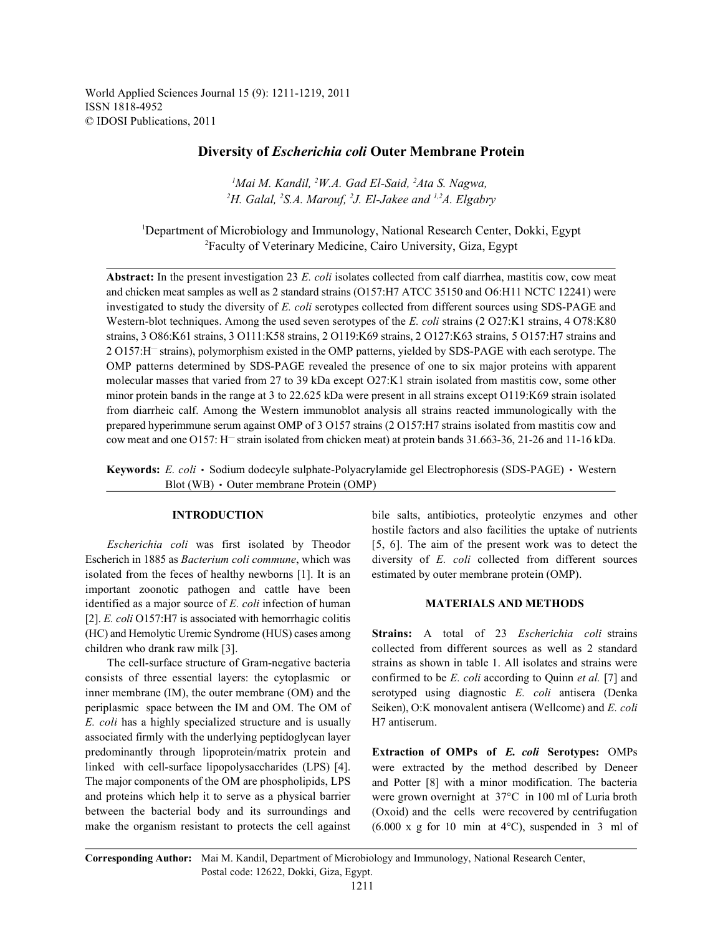World Applied Sciences Journal 15 (9): 1211-1219, 2011 ISSN 1818-4952 © IDOSI Publications, 2011

# **Diversity of** *Escherichia coli* **Outer Membrane Protein**

<sup>*I</sup>Mai M. Kandil, <sup>2</sup>W.A. Gad El-Said, <sup>2</sup>Ata S. Nagwa,</sup>*  $^2H$ . Galal,  $^2S$ .A. Marouf,  $^2J$ . El-Jakee and  $^{1,2}A$ . Elgabry

<sup>1</sup>Department of Microbiology and Immunology, National Research Center, Dokki, Egypt <sup>2</sup>Faculty of Veterinary Medicine, Cairo University, Giza, Egypt

**Abstract:** In the present investigation 23 *E. coli* isolates collected from calf diarrhea, mastitis cow, cow meat and chicken meat samples as well as 2 standard strains (O157:H7 ATCC 35150 and O6:H11 NCTC 12241) were investigated to study the diversity of *E. coli* serotypes collected from different sources using SDS-PAGE and Western-blot techniques. Among the used seven serotypes of the *E. coli* strains (2 O27:K1 strains, 4 O78:K80 strains, 3 O86:K61 strains, 3 O111:K58 strains, 2 O119:K69 strains, 2 O127:K63 strains, 5 O157:H7 strains and 2 O157:H<sup>-</sup> strains), polymorphism existed in the OMP patterns, yielded by SDS-PAGE with each serotype. The OMP patterns determined by SDS-PAGE revealed the presence of one to six major proteins with apparent molecular masses that varied from 27 to 39 kDa except O27:K1 strain isolated from mastitis cow, some other minor protein bands in the range at 3 to 22.625 kDa were present in all strains except O119:K69 strain isolated from diarrheic calf. Among the Western immunoblot analysis all strains reacted immunologically with the prepared hyperimmune serum against OMP of 3 O157 strains (2 O157:H7 strains isolated from mastitis cow and cow meat and one O157: H<sup>-</sup> strain isolated from chicken meat) at protein bands  $31.663-36$ ,  $21-26$  and  $11-16$  kDa.

**Keywords:** *E. coli* • Sodium dodecyle sulphate-Polyacrylamide gel Electrophoresis (SDS-PAGE) • Western Blot (WB)  $\cdot$  Outer membrane Protein (OMP)

isolated from the feces of healthy newborns [1]. It is an estimated by outer membrane protein (OMP). important zoonotic pathogen and cattle have been identified as a major source of *E. coli* infection of human **MATERIALS AND METHODS** [2]. *E. coli* O157:H7 is associated with hemorrhagic colitis (HC) and Hemolytic Uremic Syndrome (HUS) cases among **Strains:** A total of 23 *Escherichia coli* strains

*E. coli* has a highly specialized structure and is usually H7 antiserum. associated firmly with the underlying peptidoglycan layer predominantly through lipoprotein/matrix protein and **Extraction of OMPs of** *E. coli* **Serotypes:** OMPs linked with cell-surface lipopolysaccharides (LPS) [4]. The major components of the OM are phospholipids, LPS and proteins which help it to serve as a physical barrier between the bacterial body and its surroundings and make the organism resistant to protects the cell against

**INTRODUCTION** bile salts, antibiotics, proteolytic enzymes and other *Escherichia coli* was first isolated by Theodor [5, 6]. The aim of the present work was to detect the Escherich in 1885 as *Bacterium coli commune*, which was diversity of *E. coli* collected from different sources hostile factors and also facilities the uptake of nutrients

children who drank raw milk [3]. collected from different sources as well as 2 standard The cell-surface structure of Gram-negative bacteria strains as shown in table 1. All isolates and strains were consists of three essential layers: the cytoplasmic or confirmed to be *E. coli* according to Quinn *et al.* [7] and inner membrane (IM), the outer membrane (OM) and the serotyped using diagnostic *E. coli* antisera (Denka periplasmic space between the IM and OM. The OM of Seiken), O:K monovalent antisera (Wellcome) and *E. coli*

> were extracted by the method described by Deneer and Potter [8] with a minor modification. The bacteria were grown overnight at 37°C in 100 ml of Luria broth (Oxoid) and the cells were recovered by centrifugation (6.000 x g for 10 min at 4°C), suspended in 3 ml of

**Corresponding Author:** Mai M. Kandil, Department of Microbiology and Immunology, National Research Center, Postal code: 12622, Dokki, Giza, Egypt.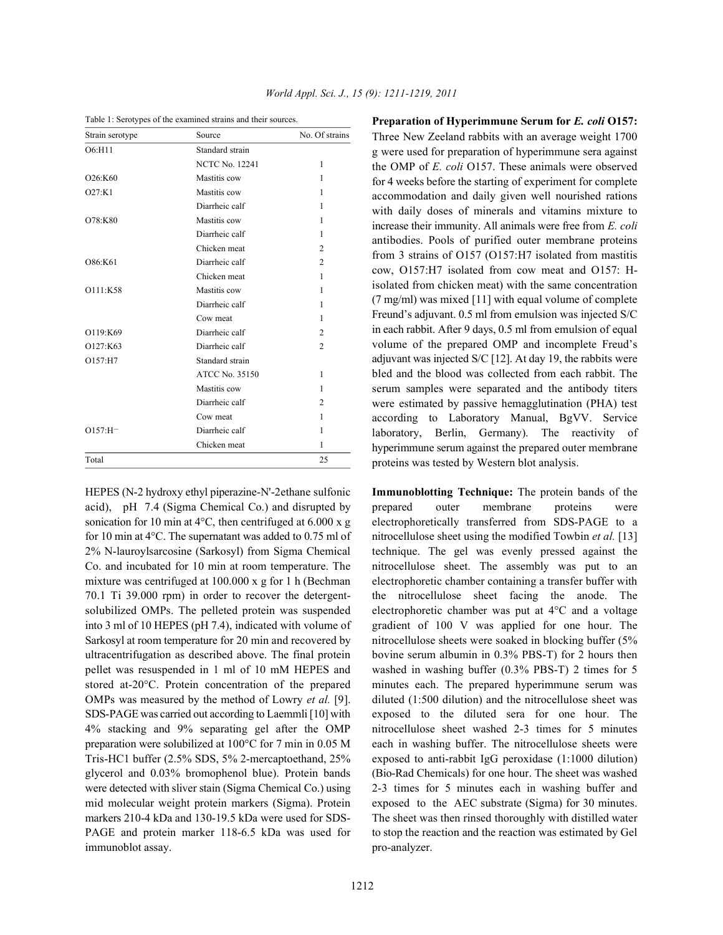| Strain serotype | Source                | No. Of strains |
|-----------------|-----------------------|----------------|
| O6:H11          | Standard strain       |                |
|                 | <b>NCTC No. 12241</b> | 1              |
| O26:K60         | Mastitis cow          | 1              |
| O27:K1          | Mastitis cow          | 1              |
|                 | Diarrheic calf        | 1              |
| O78:K80         | Mastitis cow          | 1              |
|                 | Diarrheic calf        | 1              |
|                 | Chicken meat          | $\overline{c}$ |
| O86:K61         | Diarrheic calf        | $\overline{2}$ |
|                 | Chicken meat          | $\mathbf{1}$   |
| O111:K58        | Mastitis cow          | 1              |
|                 | Diarrheic calf        | 1              |
|                 | Cow meat              | 1              |
| O119:K69        | Diarrheic calf        | $\overline{c}$ |
| O127:K63        | Diarrheic calf        | $\overline{c}$ |
| O157:H7         | Standard strain       |                |
|                 | <b>ATCC No. 35150</b> | 1              |
|                 | Mastitis cow          | 1              |
|                 | Diarrheic calf        | $\overline{c}$ |
|                 | Cow meat              | 1              |
| $O157: H^-$     | Diarrheic calf        | 1              |
|                 | Chicken meat          | 1              |
| Total           |                       | 25             |

Table 1: Serotypes of the examined strains and their sources.

HEPES (N-2 hydroxy ethyl piperazine-N'-2ethane sulfonic acid), pH 7.4 (Sigma Chemical Co.) and disrupted by sonication for 10 min at  $4^{\circ}$ C, then centrifuged at 6.000 x g for 10 min at 4°C. The supernatant was added to 0.75 ml of 2% N-lauroylsarcosine (Sarkosyl) from Sigma Chemical Co. and incubated for 10 min at room temperature. The mixture was centrifuged at 100.000 x g for 1 h (Bechman 70.1 Ti 39.000 rpm) in order to recover the detergentsolubilized OMPs. The pelleted protein was suspended into 3 ml of 10 HEPES (pH 7.4), indicated with volume of Sarkosyl at room temperature for 20 min and recovered by ultracentrifugation as described above. The final protein pellet was resuspended in 1 ml of 10 mM HEPES and stored at-20°C. Protein concentration of the prepared OMPs was measured by the method of Lowry *et al.* [9]. SDS-PAGE was carried out according to Laemmli [10] with 4% stacking and 9% separating gel after the OMP preparation were solubilized at 100°C for 7 min in 0.05 M Tris-HC1 buffer (2.5% SDS, 5% 2-mercaptoethand, 25% glycerol and 0.03% bromophenol blue). Protein bands were detected with sliver stain (Sigma Chemical Co.) using mid molecular weight protein markers (Sigma). Protein markers 210-4 kDa and 130-19.5 kDa were used for SDS-PAGE and protein marker 118-6.5 kDa was used for immunoblot assay.

**Preparation of Hyperimmune Serum for** *E. coli* **O157:** Three New Zeeland rabbits with an average weight 1700 g were used for preparation of hyperimmune sera against the OMP of *E. coli* O157. These animals were observed for 4 weeks before the starting of experiment for complete accommodation and daily given well nourished rations with daily doses of minerals and vitamins mixture to increase their immunity. All animals were free from *E. coli* antibodies. Pools of purified outer membrane proteins from 3 strains of O157 (O157:H7 isolated from mastitis cow, O157:H7 isolated from cow meat and O157: Hisolated from chicken meat) with the same concentration (7 mg/ml) was mixed [11] with equal volume of complete Freund's adjuvant. 0.5 ml from emulsion was injected S/C in each rabbit. After 9 days, 0.5 ml from emulsion of equal volume of the prepared OMP and incomplete Freud's adjuvant was injected S/C [12]. At day 19, the rabbits were bled and the blood was collected from each rabbit. The serum samples were separated and the antibody titers were estimated by passive hemagglutination (PHA) test according to Laboratory Manual, BgVV. Service laboratory, Berlin, Germany). The reactivity of hyperimmune serum against the prepared outer membrane proteins was tested by Western blot analysis.

**Immunoblotting Technique:** The protein bands of the prepared outer membrane proteins were electrophoretically transferred from SDS-PAGE to a nitrocellulose sheet using the modified Towbin *et al.* [13] technique. The gel was evenly pressed against the nitrocellulose sheet. The assembly was put to an electrophoretic chamber containing a transfer buffer with the nitrocellulose sheet facing the anode. The electrophoretic chamber was put at 4°C and a voltage gradient of 100 V was applied for one hour. The nitrocellulose sheets were soaked in blocking buffer (5% bovine serum albumin in 0.3% PBS-T) for 2 hours then washed in washing buffer (0.3% PBS-T) 2 times for 5 minutes each. The prepared hyperimmune serum was diluted (1:500 dilution) and the nitrocellulose sheet was exposed to the diluted sera for one hour. The nitrocellulose sheet washed 2-3 times for 5 minutes each in washing buffer. The nitrocellulose sheets were exposed to anti-rabbit IgG peroxidase (1:1000 dilution) (Bio-Rad Chemicals) for one hour. The sheet was washed 2-3 times for 5 minutes each in washing buffer and exposed to the AEC substrate (Sigma) for 30 minutes. The sheet was then rinsed thoroughly with distilled water to stop the reaction and the reaction was estimated by Gel pro-analyzer.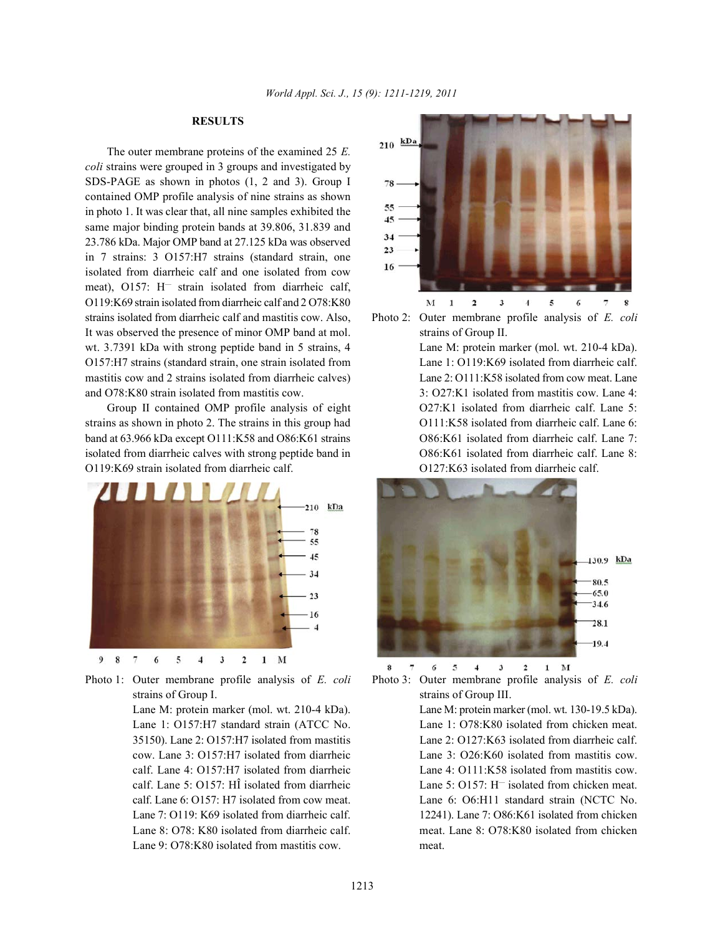# **RESULTS**

The outer membrane proteins of the examined 25 *E. coli* strains were grouped in 3 groups and investigated by SDS-PAGE as shown in photos (1, 2 and 3). Group I contained OMP profile analysis of nine strains as shown in photo 1. It was clear that, all nine samples exhibited the same major binding protein bands at 39.806, 31.839 and 23.786 kDa. Major OMP band at 27.125 kDa was observed in 7 strains: 3 O157:H7 strains (standard strain, one isolated from diarrheic calf and one isolated from cow meat), O157:  $H^-$  strain isolated from diarrheic calf, O119:K69 strain isolated from diarrheic calf and 2 O78:K80 strains isolated from diarrheic calf and mastitis cow. Also, Photo 2: Outer membrane profile analysis of *E. coli* It was observed the presence of minor OMP band at mol. strains of Group II. wt. 3.7391 kDa with strong peptide band in 5 strains, 4 Lane M: protein marker (mol. wt. 210-4 kDa). O157:H7 strains (standard strain, one strain isolated from Lane 1: O119:K69 isolated from diarrheic calf. mastitis cow and 2 strains isolated from diarrheic calves) Lane 2: O111:K58 isolated from cow meat. Lane and O78:K80 strain isolated from mastitis cow. 3: O27:K1 isolated from mastitis cow. Lane 4:

strains as shown in photo 2. The strains in this group had  $O111:K58$  isolated from diarrheic calf. Lane 6: band at 63.966 kDa except O111:K58 and O86:K61 strains O86:K61 isolated from diarrheic calf. Lane 7: isolated from diarrheic calves with strong peptide band in  $O86:K61$  isolated from diarrheic calf. Lane 8: O119:K69 strain isolated from diarrheic calf. O127:K63 isolated from diarrheic calf.



Lane M: protein marker (mol. wt. 210-4 kDa). Lane M: protein marker (mol. wt. 130-19.5 kDa). Lane 1: 0157:H7 standard strain (ATCC No. Lane 1: 078:K80 isolated from chicken meat. 35150). Lane 2: O157:H7 isolated from mastitis Lane 2: O127:K63 isolated from diarrheic calf. cow. Lane 3: O157:H7 isolated from diarrheic Lane 3: O26:K60 isolated from mastitis cow. calf. Lane 4: O157:H7 isolated from diarrheic Lane 4: O111:K58 isolated from mastitis cow. calf. Lane 6: O157: H7 isolated from cow meat. Lane 6: O6:H11 standard strain (NCTC No. Lane 8: O78: K80 isolated from diarrheic calf. meat. Lane 8: O78:K80 isolated from chicken Lane 9: O78:K80 isolated from mastitis cow. meat.





Group II contained OMP profile analysis of eight  $O27:K1$  isolated from diarrheic calf. Lane 5:



Photo 1: Outer membrane profile analysis of *E. coli* Photo 3: Outer membrane profile analysis of *E. coli* strains of Group I. Strains of Group III.

calf. Lane 5:  $O157$ : H<sup>T</sup> isolated from diarrheic Lane 5:  $O157$ : H<sup>T</sup> isolated from chicken meat. Lane 7: O119: K69 isolated from diarrheic calf. 12241). Lane 7: O86:K61 isolated from chicken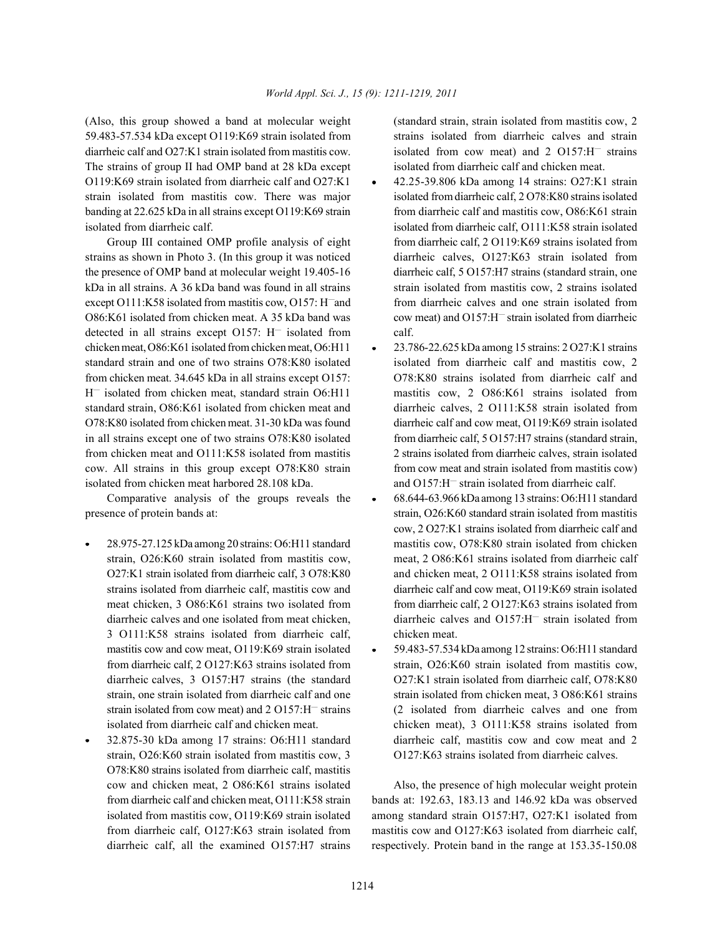(Also, this group showed a band at molecular weight (standard strain, strain isolated from mastitis cow, 2 59.483-57.534 kDa except O119:K69 strain isolated from strains isolated from diarrheic calves and strain diarrheic calf and  $O27:K1$  strain isolated from mastitis cow. The strains of group II had OMP band at 28 kDa except isolated from diarrheic calf and chicken meat. O119:K69 strain isolated from diarrheic calf and O27:K1 • 42.25-39.806 kDa among 14 strains: O27:K1 strain strain isolated from mastitis cow. There was major isolated from diarrheic calf, 2 O78:K80 strains isolated banding at 22.625 kDa in all strains except O119:K69 strain from diarrheic calf and mastitis cow, O86:K61 strain isolated from diarrheic calf. isolated from diarrheic calf, O111:K58 strain isolated

strains as shown in Photo 3. (In this group it was noticed diarrheic calves, O127:K63 strain isolated from the presence of OMP band at molecular weight 19.405-16 diarrheic calf, 5 O157:H7 strains (standard strain, one kDa in all strains. A 36 kDa band was found in all strains strain isolated from mastitis cow, 2 strains isolated except O111:K58 isolated from mastitis cow, O157: H and from diarrheic calves and one strain isolated from O86:K61 isolated from chicken meat. A 35 kDa band was detected in all strains except  $O157$ :  $H^-$  isolated from calf. H<sup>-</sup> isolated from chicken meat, standard strain O6:H11 mastitis cow, 2 O86:K61 strains isolated from standard strain, O86:K61 isolated from chicken meat and diarrheic calves, 2 O111:K58 strain isolated from isolated from chicken meat harbored 28.108 kDa.

Comparative analysis of the groups reveals the  $\cdot$  68.644-63.966 kDa among 13 strains: O6:H11 standard

- 3 O111:K58 strains isolated from diarrheic calf, chicken meat. mastitis cow and cow meat, O119:K69 strain isolated  $\bullet$  59.483-57.534 kDa among 12 strains: O6:H11 standard
- strain, O26:K60 strain isolated from mastitis cow, 3 O127:K63 strains isolated from diarrheic calves. O78:K80 strains isolated from diarrheic calf, mastitis cow and chicken meat, 2 O86:K61 strains isolated Also, the presence of high molecular weight protein

isolated from cow meat) and 2 O157:H<sup>-</sup> strains

- Group III contained OMP profile analysis of eight from diarrheic calf, 2 O119:K69 strains isolated from cow meat) and O157:H<sup>-</sup> strain isolated from diarrheic
- chicken meat, O86:K61 isolated from chicken meat, O6:H11  $\rightarrow$  23.786-22.625 kDa among 15 strains: 2 O27:K1 strains standard strain and one of two strains O78:K80 isolated isolated from diarrheic calf and mastitis cow, 2 from chicken meat. 34.645 kDa in all strains except O157: O78:K80 strains isolated from diarrheic calf and O78:K80 isolated from chicken meat. 31-30 kDa was found diarrheic calf and cow meat, O119:K69 strain isolated in all strains except one of two strains O78:K80 isolated from diarrheic calf, 5 O157:H7 strains (standard strain, from chicken meat and O111:K58 isolated from mastitis 2 strains isolated from diarrheic calves, strain isolated cow. All strains in this group except O78:K80 strain from cow meat and strain isolated from mastitis cow) and  $O157$ : $H^-$  strain isolated from diarrheic calf.
- presence of protein bands at: strain, O26:K60 standard strain isolated from mastitis 28.975-27.125 kDa among 20 strains: O6:H11 standard mastitis cow, O78:K80 strain isolated from chicken strain, O26:K60 strain isolated from mastitis cow, meat, 2 O86:K61 strains isolated from diarrheic calf O27:K1 strain isolated from diarrheic calf, 3 O78:K80 and chicken meat, 2 O111:K58 strains isolated from strains isolated from diarrheic calf, mastitis cow and diarrheic calf and cow meat, O119:K69 strain isolated meat chicken, 3 O86:K61 strains two isolated from from diarrheic calf, 2 O127:K63 strains isolated from diarrheic calves and one isolated from meat chicken, diarrheic calves and O157:H<sup>-</sup> strain isolated from cow, 2 O27:K1 strains isolated from diarrheic calf and
	- from diarrheic calf, 2 O127:K63 strains isolated from strain, O26:K60 strain isolated from mastitis cow, diarrheic calves, 3 O157:H7 strains (the standard O27:K1 strain isolated from diarrheic calf, O78:K80 strain, one strain isolated from diarrheic calf and one strain isolated from chicken meat, 3 O86:K61 strains strain isolated from cow meat) and  $2 \text{ O157:H}$  strains (2 isolated from diarrheic calves and one from isolated from diarrheic calf and chicken meat. chicken meat), 3 O111:K58 strains isolated from 32.875-30 kDa among 17 strains: O6:H11 standard diarrheic calf, mastitis cow and cow meat and 2

from diarrheic calf and chicken meat, O111:K58 strain bands at: 192.63, 183.13 and 146.92 kDa was observed isolated from mastitis cow, O119:K69 strain isolated among standard strain O157:H7, O27:K1 isolated from from diarrheic calf, O127:K63 strain isolated from mastitis cow and O127:K63 isolated from diarrheic calf, diarrheic calf, all the examined O157:H7 strains respectively. Protein band in the range at 153.35-150.08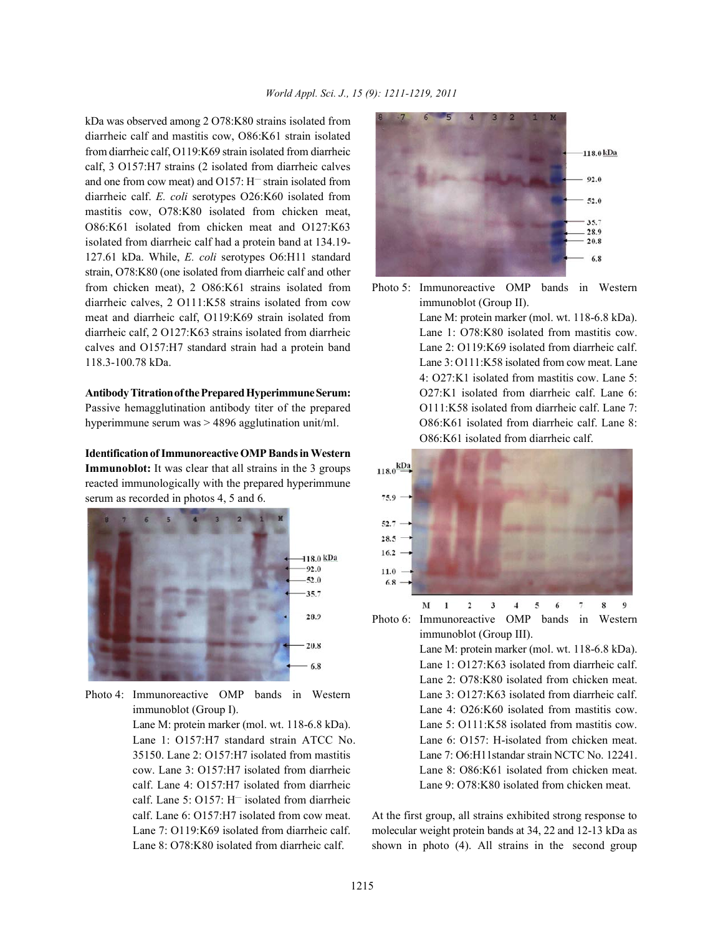kDa was observed among 2 O78:K80 strains isolated from diarrheic calf and mastitis cow, O86:K61 strain isolated from diarrheic calf, O119:K69 strain isolated from diarrheic calf, 3 O157:H7 strains (2 isolated from diarrheic calves and one from cow meat) and  $O157$ :  $H^-$  strain isolated from diarrheic calf. *E. coli* serotypes O26:K60 isolated from mastitis cow, O78:K80 isolated from chicken meat, O86:K61 isolated from chicken meat and O127:K63 isolated from diarrheic calf had a protein band at 134.19- 127.61 kDa. While, *E. coli* serotypes O6:H11 standard strain, O78:K80 (one isolated from diarrheic calf and other from chicken meat), 2 O86:K61 strains isolated from Photo 5: Immunoreactive OMP bands in Western diarrheic calves, 2 O111:K58 strains isolated from cow immunoblot (Group II). meat and diarrheic calf, O119:K69 strain isolated from Lane M: protein marker (mol. wt. 118-6.8 kDa). diarrheic calf, 2 O127:K63 strains isolated from diarrheic Lane 1: O78:K80 isolated from mastitis cow. calves and O157:H7 standard strain had a protein band Lane 2: O119:K69 isolated from diarrheic calf. 118.3-100.78 kDa. Lane 3: O111:K58 isolated from cow meat. Lane

Passive hemagglutination antibody titer of the prepared  $O111:K58$  isolated from diarrheic calf. Lane 7: hyperimmune serum was > 4896 agglutination unit/ml.  $O86:K61$  isolated from diarrheic calf. Lane 8:

**Identification of Immunoreactive OMP Bands in Western Immunoblot:** It was clear that all strains in the 3 groups reacted immunologically with the prepared hyperimmune serum as recorded in photos 4, 5 and 6.



Photo 4: Immunoreactive OMP bands in Western Lane 3: O127:K63 isolated from diarrheic calf.

calf. Lane 4: O157:H7 isolated from diarrheic Lane 9: O78:K80 isolated from chicken meat. calf. Lane 5:  $O157$ : H<sup>-</sup> isolated from diarrheic



**AntibodyTitration ofthe Prepared Hyperimmune Serum:** O27:K1 isolated from diarrheic calf. Lane 6: 4: O27:K1 isolated from mastitis cow. Lane 5: O86:K61 isolated from diarrheic calf.



Photo 6: Immunoreactive OMP bands in Western immunoblot (Group III).

immunoblot (Group I). Lane 4: O26:K60 isolated from mastitis cow. Lane M: protein marker (mol. wt. 118-6.8 kDa). Lane 5: O111:K58 isolated from mastitis cow. Lane 1: O157:H7 standard strain ATCC No. Lane 6: O157: H-isolated from chicken meat. 35150. Lane 2: O157:H7 isolated from mastitis Lane 7: O6:H11standar strain NCTC No. 12241. cow. Lane 3: O157:H7 isolated from diarrheic Lane 8: O86:K61 isolated from chicken meat. Lane M: protein marker (mol. wt. 118-6.8 kDa). Lane 1:  $O127:K63$  isolated from diarrheic calf. Lane 2: O78:K80 isolated from chicken meat.

calf. Lane 6: O157:H7 isolated from cow meat. At the first group, all strains exhibited strong response to Lane 7: O119:K69 isolated from diarrheic calf. molecular weight protein bands at 34, 22 and 12-13 kDa as Lane 8: O78:K80 isolated from diarrheic calf. shown in photo (4). All strains in the second group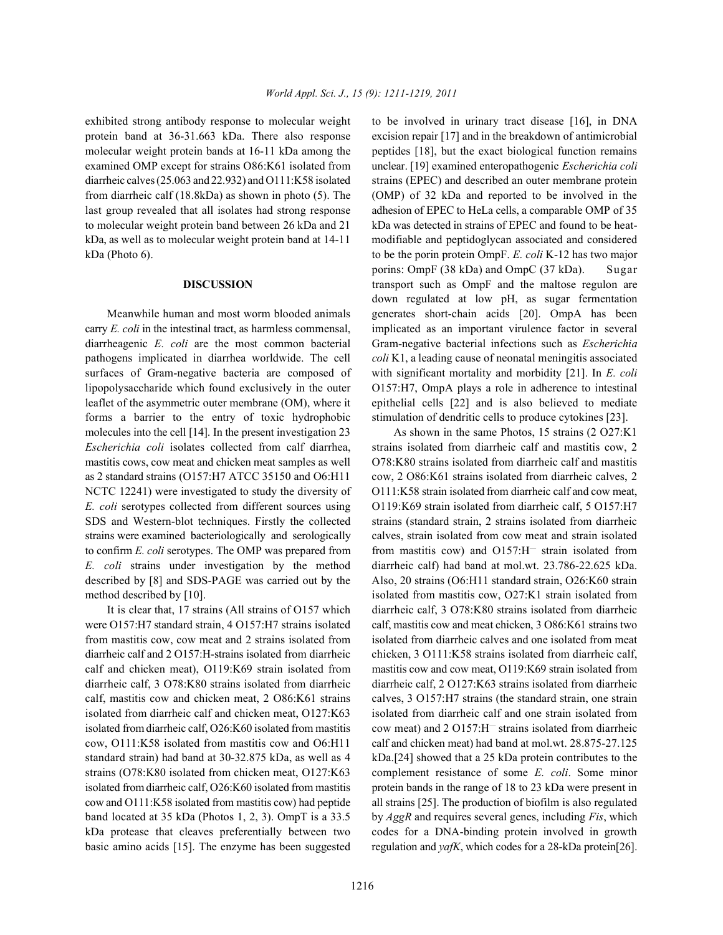protein band at 36-31.663 kDa. There also response excision repair [17] and in the breakdown of antimicrobial molecular weight protein bands at 16-11 kDa among the peptides [18], but the exact biological function remains examined OMP except for strains O86:K61 isolated from unclear. [19] examined enteropathogenic *Escherichia coli* diarrheic calves (25.063 and 22.932) and O111:K58 isolated strains (EPEC) and described an outer membrane protein from diarrheic calf (18.8kDa) as shown in photo (5). The (OMP) of 32 kDa and reported to be involved in the last group revealed that all isolates had strong response adhesion of EPEC to HeLa cells, a comparable OMP of 35 to molecular weight protein band between 26 kDa and 21 kDa was detected in strains of EPEC and found to be heatkDa, as well as to molecular weight protein band at 14-11 modifiable and peptidoglycan associated and considered kDa (Photo 6). to be the porin protein OmpF. *E. coli* K-12 has two major

carry *E. coli* in the intestinal tract, as harmless commensal, implicated as an important virulence factor in several diarrheagenic *E. coli* are the most common bacterial Gram-negative bacterial infections such as *Escherichia* pathogens implicated in diarrhea worldwide. The cell *coli* K1, a leading cause of neonatal meningitis associated surfaces of Gram-negative bacteria are composed of with significant mortality and morbidity [21]. In *E. coli* lipopolysaccharide which found exclusively in the outer O157:H7, OmpA plays a role in adherence to intestinal leaflet of the asymmetric outer membrane (OM), where it epithelial cells [22] and is also believed to mediate forms a barrier to the entry of toxic hydrophobic stimulation of dendritic cells to produce cytokines [23]. molecules into the cell [14]. In the present investigation 23 As shown in the same Photos, 15 strains (2 O27:K1 *Escherichia coli* isolates collected from calf diarrhea, strains isolated from diarrheic calf and mastitis cow, 2 mastitis cows, cow meat and chicken meat samples as well  $O78:K80$  strains isolated from diarrheic calf and mastitis as 2 standard strains (O157:H7 ATCC 35150 and O6:H11 cow, 2 O86:K61 strains isolated from diarrheic calves, 2 NCTC 12241) were investigated to study the diversity of O111:K58 strain isolated from diarrheic calf and cow meat, *E. coli* serotypes collected from different sources using O119:K69 strain isolated from diarrheic calf, 5 O157:H7 SDS and Western-blot techniques. Firstly the collected strains (standard strain, 2 strains isolated from diarrheic strains were examined bacteriologically and serologically calves, strain isolated from cow meat and strain isolated to confirm *E. coli* serotypes. The OMP was prepared from from mastitis cow) and  $O157:H^-$  strain isolated from *E. coli* strains under investigation by the method diarrheic calf) had band at mol.wt. 23.786-22.625 kDa. described by [8] and SDS-PAGE was carried out by the Also, 20 strains (O6:H11 standard strain, O26:K60 strain method described by [10]. isolated from mastitis cow, O27:K1 strain isolated from

were O157:H7 standard strain, 4 O157:H7 strains isolated calf, mastitis cow and meat chicken, 3 O86:K61 strains two from mastitis cow, cow meat and 2 strains isolated from isolated from diarrheic calves and one isolated from meat diarrheic calf and 2 O157:H-strains isolated from diarrheic chicken, 3 O111:K58 strains isolated from diarrheic calf, calf and chicken meat), O119:K69 strain isolated from mastitis cow and cow meat, O119:K69 strain isolated from diarrheic calf, 3 O78:K80 strains isolated from diarrheic diarrheic calf, 2 O127:K63 strains isolated from diarrheic calf, mastitis cow and chicken meat, 2 O86:K61 strains calves, 3 O157:H7 strains (the standard strain, one strain isolated from diarrheic calf and chicken meat, O127:K63 isolated from diarrheic calf and one strain isolated from cow, O111:K58 isolated from mastitis cow and O6:H11 calf and chicken meat) had band at mol.wt. 28.875-27.125 standard strain) had band at 30-32.875 kDa, as well as 4 kDa.[24] showed that a 25 kDa protein contributes to the strains (O78:K80 isolated from chicken meat, O127:K63 complement resistance of some *E. coli*. Some minor isolated from diarrheic calf, O26:K60 isolated from mastitis protein bands in the range of 18 to 23 kDa were present in cow and O111:K58 isolated from mastitis cow) had peptide all strains [25]. The production of biofilm is also regulated band located at 35 kDa (Photos 1, 2, 3). OmpT is a 33.5 by *AggR* and requires several genes, including *Fis*, which kDa protease that cleaves preferentially between two codes for a DNA-binding protein involved in growth basic amino acids [15]. The enzyme has been suggested regulation and *yafK*, which codes for a 28-kDa protein[26].

exhibited strong antibody response to molecular weight to be involved in urinary tract disease [16], in DNA **DISCUSSION** transport such as OmpF and the maltose regulon are Meanwhile human and most worm blooded animals generates short-chain acids [20]. OmpA has been porins: OmpF (38 kDa) and OmpC (37 kDa). Sugar down regulated at low pH, as sugar fermentation

It is clear that, 17 strains (All strains of O157 which diarrheic calf, 3 O78:K80 strains isolated from diarrheic isolated from diarrheic calf,  $O26$ :K60 isolated from mastitis cow meat) and  $2 O157$ :H<sup>-</sup> strains isolated from diarrheic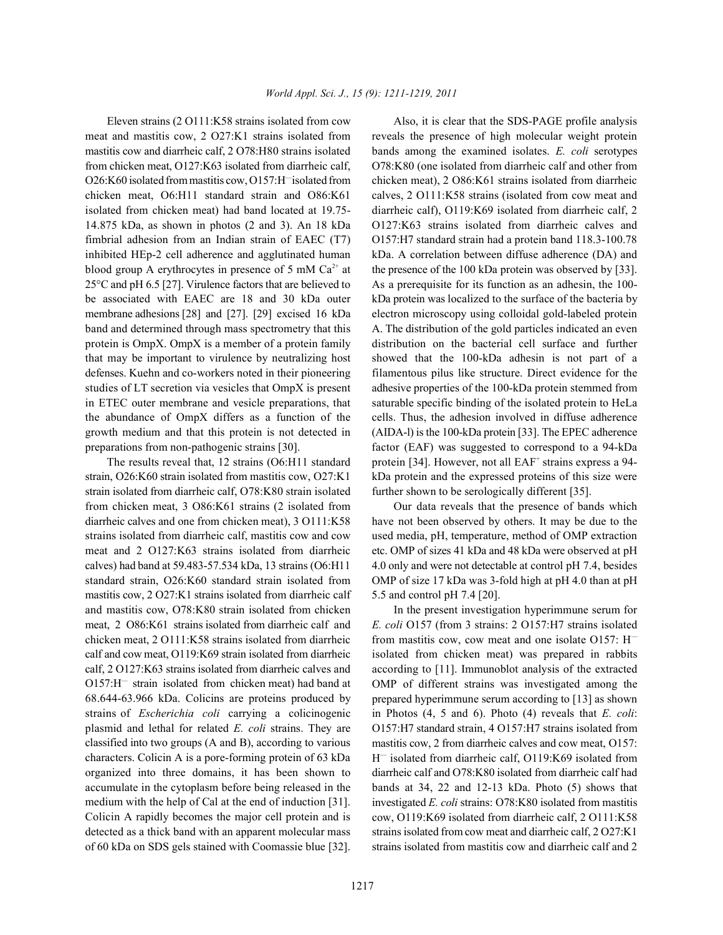meat and mastitis cow, 2 O27:K1 strains isolated from reveals the presence of high molecular weight protein mastitis cow and diarrheic calf, 2 O78:H80 strains isolated bands among the examined isolates. *E. coli* serotypes from chicken meat, O127:K63 isolated from diarrheic calf, O78:K80 (one isolated from diarrheic calf and other from O26:K60 isolated from mastitis cow, O157:H<sup>-</sup>isolated from chicken meat), 2 O86:K61 strains isolated from diarrheic chicken meat, O6:H11 standard strain and O86:K61 calves, 2 O111:K58 strains (isolated from cow meat and isolated from chicken meat) had band located at 19.75- diarrheic calf), O119:K69 isolated from diarrheic calf, 2 14.875 kDa, as shown in photos (2 and 3). An 18 kDa O127:K63 strains isolated from diarrheic calves and fimbrial adhesion from an Indian strain of EAEC (T7) O157:H7 standard strain had a protein band 118.3-100.78 inhibited HEp-2 cell adherence and agglutinated human kDa. A correlation between diffuse adherence (DA) and blood group A erythrocytes in presence of 5 mM  $Ca^{2+}$  at the presence of the 100 kDa protein was observed by [33]. 25°C and pH 6.5 [27]. Virulence factors that are believed to As a prerequisite for its function as an adhesin, the 100 be associated with EAEC are 18 and 30 kDa outer kDa protein was localized to the surface of the bacteria by membrane adhesions [28] and [27]. [29] excised 16 kDa electron microscopy using colloidal gold-labeled protein band and determined through mass spectrometry that this A. The distribution of the gold particles indicated an even protein is OmpX. OmpX is a member of a protein family distribution on the bacterial cell surface and further that may be important to virulence by neutralizing host showed that the 100-kDa adhesin is not part of a defenses. Kuehn and co-workers noted in their pioneering filamentous pilus like structure. Direct evidence for the studies of LT secretion via vesicles that OmpX is present adhesive properties of the 100-kDa protein stemmed from in ETEC outer membrane and vesicle preparations, that saturable specific binding of the isolated protein to HeLa the abundance of OmpX differs as a function of the cells. Thus, the adhesion involved in diffuse adherence growth medium and that this protein is not detected in (AIDA-l) is the 100-kDa protein [33]. The EPEC adherence

strain, O26:K60 strain isolated from mastitis cow, O27:K1 kDa protein and the expressed proteins of this size were strain isolated from diarrheic calf, O78:K80 strain isolated further shown to be serologically different [35]. from chicken meat, 3 O86:K61 strains (2 isolated from Our data reveals that the presence of bands which diarrheic calves and one from chicken meat), 3 O111:K58 have not been observed by others. It may be due to the strains isolated from diarrheic calf, mastitis cow and cow used media, pH, temperature, method of OMP extraction meat and 2 O127:K63 strains isolated from diarrheic etc. OMP of sizes 41 kDa and 48 kDa were observed at pH calves) had band at 59.483-57.534 kDa, 13 strains (O6:H11 4.0 only and were not detectable at control pH 7.4, besides standard strain, O26:K60 standard strain isolated from OMP of size 17 kDa was 3-fold high at pH 4.0 than at pH mastitis cow, 2 O27:K1 strains isolated from diarrheic calf 5.5 and control pH 7.4 [20]. and mastitis cow, O78:K80 strain isolated from chicken In the present investigation hyperimmune serum for meat, 2 O86:K61 strains isolated from diarrheic calf and *E. coli* O157 (from 3 strains: 2 O157:H7 strains isolated chicken meat, 2 O111:K58 strains isolated from diarrheic calf and cow meat, O119:K69 strain isolated from diarrheic calf, 2 O127:K63 strains isolated from diarrheic calves and  $O157:H^-$  strain isolated from chicken meat) had band at 68.644-63.966 kDa. Colicins are proteins produced by strains of *Escherichia coli* carrying a colicinogenic plasmid and lethal for related *E. coli* strains. They are classified into two groups (A and B), according to various characters. Colicin A is a pore-forming protein of 63 kDa organized into three domains, it has been shown to accumulate in the cytoplasm before being released in the medium with the help of Cal at the end of induction [31]. Colicin A rapidly becomes the major cell protein and is detected as a thick band with an apparent molecular mass of 60 kDa on SDS gels stained with Coomassie blue [32].

Eleven strains (2 O111:K58 strains isolated from cow Also, it is clear that the SDS-PAGE profile analysis preparations from non-pathogenic strains [30]. factor (EAF) was suggested to correspond to a 94-kDa The results reveal that, 12 strains (O6:H11 standard protein [34]. However, not all  $EAF^+$  strains express a 94-

from mastitis cow, cow meat and one isolate  $O157$ : H<sup>-</sup> isolated from chicken meat) was prepared in rabbits according to [11]. Immunoblot analysis of the extracted OMP of different strains was investigated among the prepared hyperimmune serum according to [13] as shown in Photos (4, 5 and 6). Photo (4) reveals that *E. coli*: O157:H7 standard strain, 4 O157:H7 strains isolated from mastitis cow, 2 from diarrheic calves and cow meat, O157:  $H^-$  isolated from diarrheic calf, O119:K69 isolated from diarrheic calf and O78:K80 isolated from diarrheic calf had bands at 34, 22 and 12-13 kDa. Photo (5) shows that investigated *E. coli* strains: O78:K80 isolated from mastitis cow, O119:K69 isolated from diarrheic calf, 2 O111:K58 strains isolated from cow meat and diarrheic calf, 2 O27:K1 strains isolated from mastitis cow and diarrheic calf and 2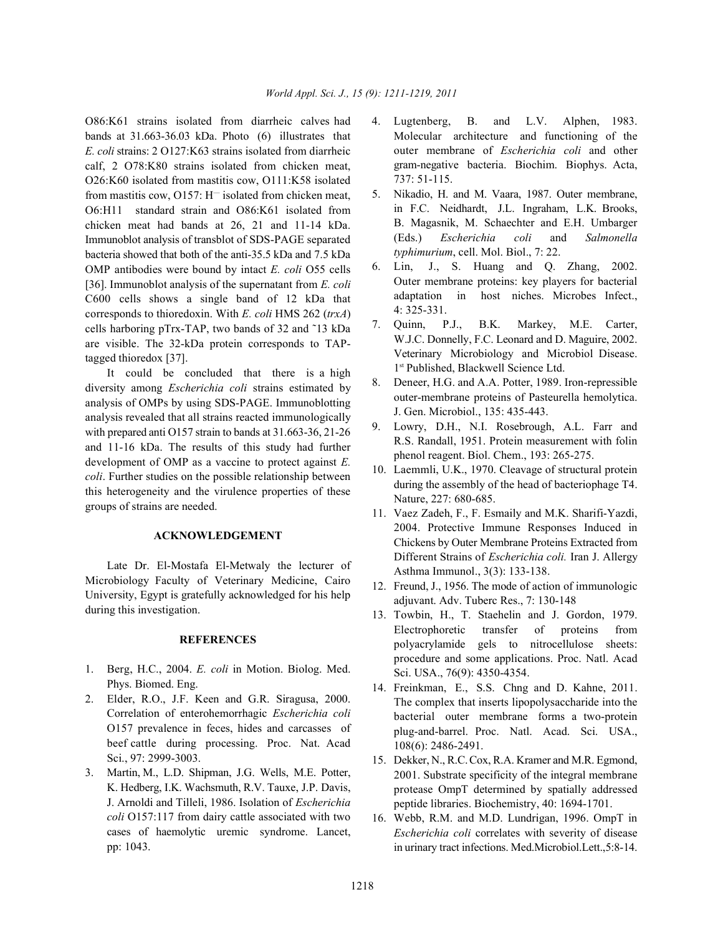O86:K61 strains isolated from diarrheic calves had 4. Lugtenberg, B. and L.V. Alphen, 1983. bands at 31.663-36.03 kDa. Photo (6) illustrates that *E. coli* strains: 2 O127:K63 strains isolated from diarrheic calf, 2 O78:K80 strains isolated from chicken meat, O26:K60 isolated from mastitis cow, O111:K58 isolated from mastitis cow,  $O157$ : H<sup>-</sup> isolated from chicken meat, O6:H11 standard strain and O86:K61 isolated from chicken meat had bands at 26, 21 and 11-14 kDa. Immunoblot analysis of transblot of SDS-PAGE separated bacteria showed that both of the anti-35.5 kDa and 7.5 kDa OMP antibodies were bound by intact *E. coli* O55 cells [36]. Immunoblot analysis of the supernatant from *E. coli* C600 cells shows a single band of 12 kDa that corresponds to thioredoxin. With *E. coli* HMS 262 (*trxA*) cells harboring pTrx-TAP, two bands of 32 and ˜13 kDa are visible. The 32-kDa protein corresponds to TAPtagged thioredox [37].

It could be concluded that there is a high diversity among *Escherichia coli* strains estimated by analysis of OMPs by using SDS-PAGE. Immunoblotting analysis revealed that all strains reacted immunologically with prepared anti O157 strain to bands at 31.663-36, 21-26 and 11-16 kDa. The results of this study had further development of OMP as a vaccine to protect against *E. coli*. Further studies on the possible relationship between this heterogeneity and the virulence properties of these groups of strains are needed.

## **ACKNOWLEDGEMENT**

Late Dr. El-Mostafa El-Metwaly the lecturer of Microbiology Faculty of Veterinary Medicine, Cairo University, Egypt is gratefully acknowledged for his help during this investigation.

# **REFERENCES**

- 1. Berg, H.C., 2004. *E. coli* in Motion. Biolog. Med. Phys. Biomed. Eng.
- 2. Elder, R.O., J.F. Keen and G.R. Siragusa, 2000. Correlation of enterohemorrhagic *Escherichia coli* O157 prevalence in feces, hides and carcasses of beef cattle during processing. Proc. Nat. Acad Sci., 97: 2999-3003.
- 3. Martin, M., L.D. Shipman, J.G. Wells, M.E. Potter, K. Hedberg, I.K. Wachsmuth, R.V. Tauxe, J.P. Davis, J. Arnoldi and Tilleli, 1986. Isolation of *Escherichia coli* O157:117 from dairy cattle associated with two cases of haemolytic uremic syndrome. Lancet, pp: 1043.
- Molecular architecture and functioning of the outer membrane of *Escherichia coli* and other gram-negative bacteria. Biochim. Biophys. Acta, 737: 51-115.
- 5. Nikadio, H. and M. Vaara, 1987. Outer membrane, in F.C. Neidhardt, J.L. Ingraham, L.K. Brooks, B. Magasnik, M. Schaechter and E.H. Umbarger (Eds.) *Escherichia coli* and *Salmonella typhimurium*, cell. Mol. Biol., 7: 22.
- 6. Lin, J., S. Huang and Q. Zhang, 2002. Outer membrane proteins: key players for bacterial adaptation in host niches. Microbes Infect., 4: 325-331.
- 7. Quinn, P.J., B.K. Markey, M.E. Carter, W.J.C. Donnelly, F.C. Leonard and D. Maguire, 2002. Veterinary Microbiology and Microbiol Disease. 1<sup>st</sup> Published, Blackwell Science Ltd.
- 8. Deneer, H.G. and A.A. Potter, 1989. Iron-repressible outer-membrane proteins of Pasteurella hemolytica. J. Gen. Microbiol., 135: 435-443.
- 9. Lowry, D.H., N.I. Rosebrough, A.L. Farr and R.S. Randall, 1951. Protein measurement with folin phenol reagent. Biol. Chem., 193: 265-275.
- 10. Laemmli, U.K., 1970. Cleavage of structural protein during the assembly of the head of bacteriophage T4. Nature, 227: 680-685.
- 11. Vaez Zadeh, F., F. Esmaily and M.K. Sharifi-Yazdi, 2004. Protective Immune Responses Induced in Chickens by Outer Membrane Proteins Extracted from Different Strains of *Escherichia coli.* Iran J. Allergy Asthma Immunol., 3(3): 133-138.
- 12. Freund, J., 1956. The mode of action of immunologic adjuvant. Adv. Tuberc Res., 7: 130-148
- 13. Towbin, H., T. Staehelin and J. Gordon, 1979. Electrophoretic transfer of proteins from polyacrylamide gels to nitrocellulose sheets: procedure and some applications. Proc. Natl. Acad Sci. USA., 76(9): 4350-4354.
- 14. Freinkman, E., S.S. Chng and D. Kahne, 2011. The complex that inserts lipopolysaccharide into the bacterial outer membrane forms a two-protein plug-and-barrel. Proc. Natl. Acad. Sci. USA., 108(6): 2486-2491.
- 15. Dekker, N., R.C. Cox, R.A. Kramer and M.R. Egmond, 2001. Substrate specificity of the integral membrane protease OmpT determined by spatially addressed peptide libraries. Biochemistry, 40: 1694-1701.
- 16. Webb, R.M. and M.D. Lundrigan, 1996. OmpT in *Escherichia coli* correlates with severity of disease in urinary tract infections. Med.Microbiol.Lett.,5:8-14.